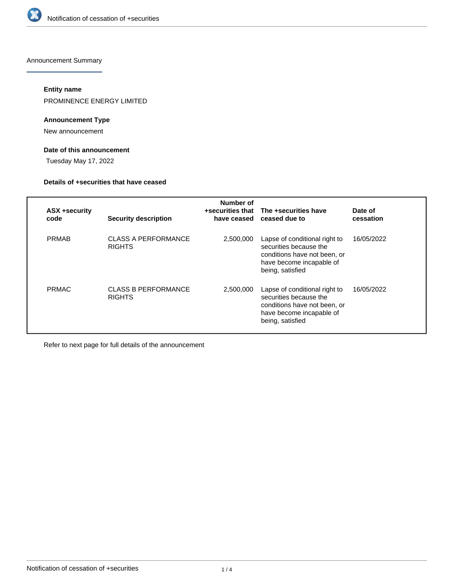

Announcement Summary

# **Entity name**

PROMINENCE ENERGY LIMITED

# **Announcement Type**

New announcement

# **Date of this announcement**

Tuesday May 17, 2022

## **Details of +securities that have ceased**

| <b>ASX +security</b><br>code | <b>Security description</b>                 | Number of<br>have ceased | +securities that The +securities have<br>ceased due to                                                                                  | Date of<br>cessation |
|------------------------------|---------------------------------------------|--------------------------|-----------------------------------------------------------------------------------------------------------------------------------------|----------------------|
| <b>PRMAB</b>                 | <b>CLASS A PERFORMANCE</b><br><b>RIGHTS</b> | 2,500,000                | Lapse of conditional right to<br>securities because the<br>conditions have not been, or<br>have become incapable of<br>being, satisfied | 16/05/2022           |
| <b>PRMAC</b>                 | <b>CLASS B PERFORMANCE</b><br><b>RIGHTS</b> | 2,500,000                | Lapse of conditional right to<br>securities because the<br>conditions have not been, or<br>have become incapable of<br>being, satisfied | 16/05/2022           |

Refer to next page for full details of the announcement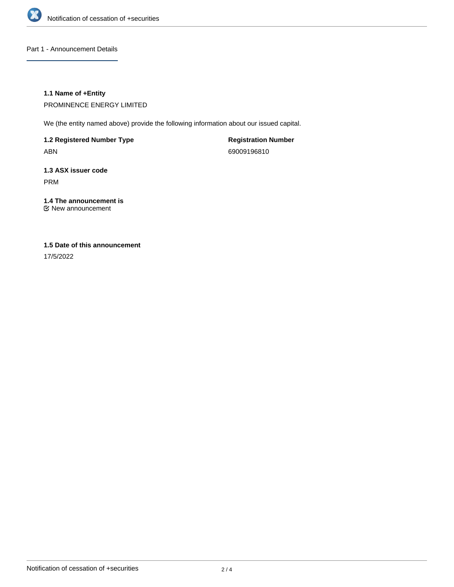

Part 1 - Announcement Details

# **1.1 Name of +Entity**

PROMINENCE ENERGY LIMITED

We (the entity named above) provide the following information about our issued capital.

**1.2 Registered Number Type**

ABN

**Registration Number** 69009196810

**1.3 ASX issuer code** PRM

**1.4 The announcement is** New announcement

# **1.5 Date of this announcement**

17/5/2022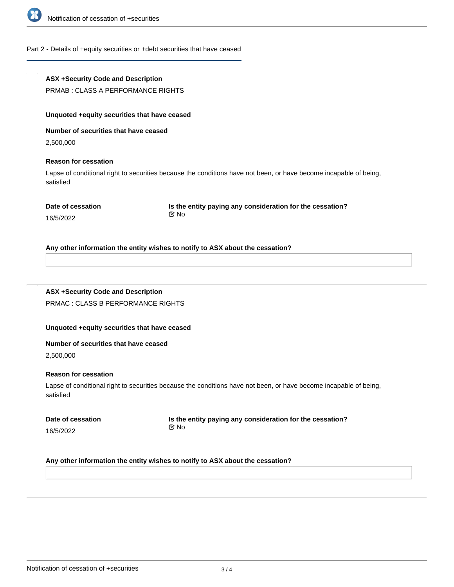

## Part 2 - Details of +equity securities or +debt securities that have ceased

## **ASX +Security Code and Description**

PRMAB : CLASS A PERFORMANCE RIGHTS

# **Unquoted +equity securities that have ceased**

**Number of securities that have ceased**

2,500,000

## **Reason for cessation**

Lapse of conditional right to securities because the conditions have not been, or have become incapable of being, satisfied

16/5/2022

**Is the entity paying any consideration for the cessation?** No

# **ASX +Security Code and Description**

PRMAC : CLASS B PERFORMANCE RIGHTS

# **Unquoted +equity securities that have ceased**

#### **Number of securities that have ceased**

2,500,000

## **Reason for cessation**

Lapse of conditional right to securities because the conditions have not been, or have become incapable of being, satisfied

|           | Date of cessation |
|-----------|-------------------|
| 16/5/2022 |                   |

**Is the entity paying any consideration for the cessation?** No

# **Any other information the entity wishes to notify to ASX about the cessation?**

**Any other information the entity wishes to notify to ASX about the cessation?**